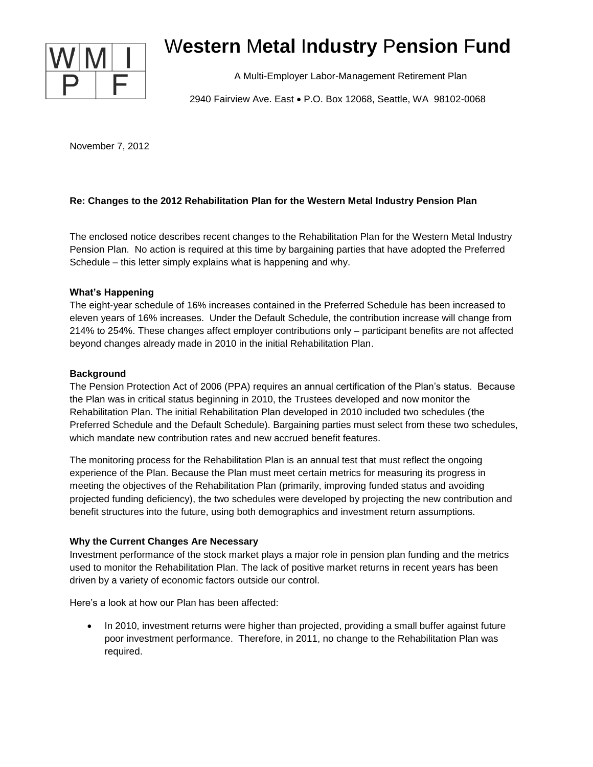

# W**estern** M**etal** I**ndustry** P**ension** F**und**

A Multi-Employer Labor-Management Retirement Plan

2940 Fairview Ave. East . P.O. Box 12068, Seattle, WA 98102-0068

November 7, 2012

## **Re: Changes to the 2012 Rehabilitation Plan for the Western Metal Industry Pension Plan**

The enclosed notice describes recent changes to the Rehabilitation Plan for the Western Metal Industry Pension Plan. No action is required at this time by bargaining parties that have adopted the Preferred Schedule – this letter simply explains what is happening and why.

## **What's Happening**

The eight-year schedule of 16% increases contained in the Preferred Schedule has been increased to eleven years of 16% increases. Under the Default Schedule, the contribution increase will change from 214% to 254%. These changes affect employer contributions only – participant benefits are not affected beyond changes already made in 2010 in the initial Rehabilitation Plan.

## **Background**

The Pension Protection Act of 2006 (PPA) requires an annual certification of the Plan's status. Because the Plan was in critical status beginning in 2010, the Trustees developed and now monitor the Rehabilitation Plan. The initial Rehabilitation Plan developed in 2010 included two schedules (the Preferred Schedule and the Default Schedule). Bargaining parties must select from these two schedules, which mandate new contribution rates and new accrued benefit features.

The monitoring process for the Rehabilitation Plan is an annual test that must reflect the ongoing experience of the Plan. Because the Plan must meet certain metrics for measuring its progress in meeting the objectives of the Rehabilitation Plan (primarily, improving funded status and avoiding projected funding deficiency), the two schedules were developed by projecting the new contribution and benefit structures into the future, using both demographics and investment return assumptions.

#### **Why the Current Changes Are Necessary**

Investment performance of the stock market plays a major role in pension plan funding and the metrics used to monitor the Rehabilitation Plan. The lack of positive market returns in recent years has been driven by a variety of economic factors outside our control.

Here's a look at how our Plan has been affected:

• In 2010, investment returns were higher than projected, providing a small buffer against future poor investment performance. Therefore, in 2011, no change to the Rehabilitation Plan was required.